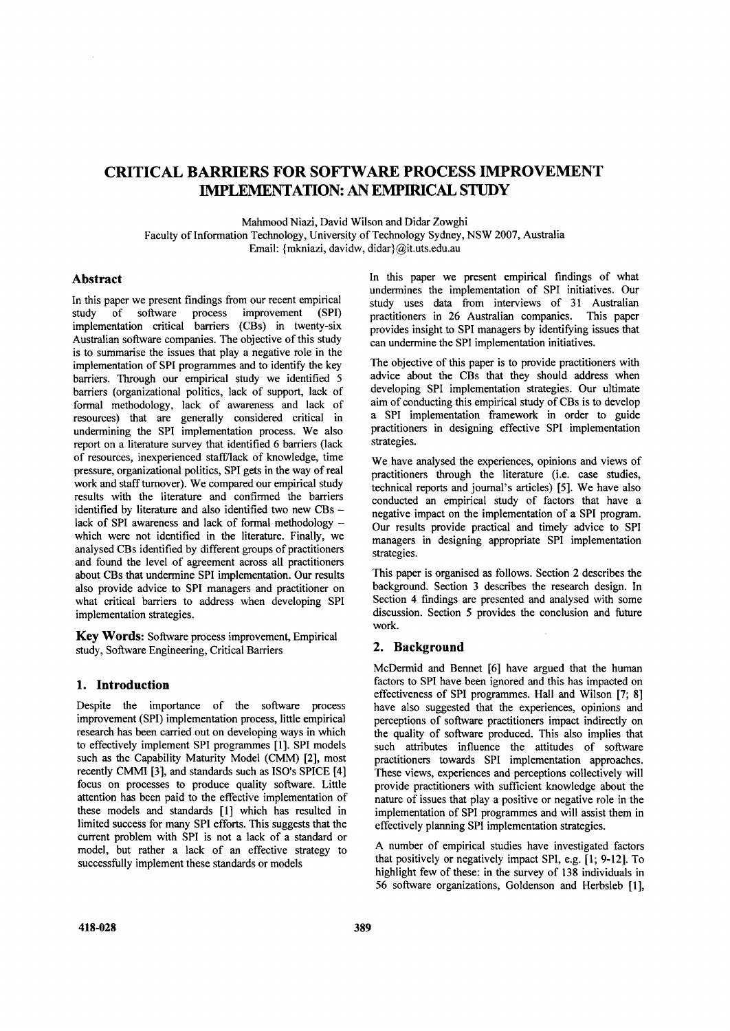# CRITICAL BARRIERS FOR SOFTWARE PROCESS IMPROVEMENT IMPLEMENTATION: AN EMPIRICAL STUDY

Mahmood Niazi, David Wilson and Didar Zowghi

Faculty of Information Technology, University of Technology Sydney, NSW 2007, Australia Email: {mkniazi. davidw. didar}@it.uts.edu.au

## Abstract

In this paper we present findings from our recent empirical study of software process improvement (SPI) implementation critical barriers (CBs) in twenty-six Australian software companies. The objective of this study is to summarise the issues that playa negative role in the implementation of SPI programmes and to identify the key barriers. Through our empirical study we identified 5 barriers (organizational politics, lack of support, lack of formal methodology, lack of awareness and lack of resources) that are generally considered critical in undermining the SPI implementation process. We also report on a literature survey that identified 6 barriers (lack of resources, inexperienced staffi'lack of knowledge, time pressure, organizational politics, SPI gets in the way of real work and staffturnover). We compared our empirical study results with the literature and confirmed the barriers identified by literature and also identified two new CBs lack of SPI awareness and lack of formal methodology which were not identified in the literature. Finally, we analysed CBs identified by different groups of practitioners and found the level of agreement across all practitioners about CBs that undermine SPI implementation. Our results also provide advice to SPI managers and practitioner on what critical barriers to address when developing SPI implementation strategies.

Key Words: Software process improvement, Empirical study, Software Engineering, Critical Barriers

# 1. Introduction

Despite the importance of the software process improvement (SPI) implementation process, little empirical research has been carried out on developing ways in which to effectively implement SPI programmes [1]. SPI models such as the Capability Maturity Model (CMM) [2], most recently CMMI [3], and standards such as ISO's SPICE [4] focus on processes to produce quality software. Little attention has been paid to the effective implementation of these models and standards [1] which has resulted in limited success for many SPI efforts. This suggests that the current problem with SPI is not a lack of a standard or model, but rather a lack of an effective strategy to successfully implement these standards or models

In this paper we present empirical findings of what undermines the implementation of SPI initiatives. Our study uses data from interviews of 31 Australian practitioners in 26 Australian companies. This paper provides insight to SPI managers by identifying issues that can undermine the SPI implementation initiatives.

The objective of this paper is to provide practitioners with advice about the CBs that they should address when developing SPI implementation strategies. Our ultimate aim of conducting this empirical study of CBs is to develop a SPI implementation framework in order to guide practitioners in designing effective SPI implementation strategies.

We have analysed the experiences, opinions and views of practitioners through the literature (i.e. case studies, technical reports and journal's articles) [5]. We have also conducted an empirical study of factors that have a negative impact on the implementation of a SPI program. Our results provide practical and timely advice to SPI managers in designing appropriate SPI implementation strategies.

This paper is organised as follows. Section 2 describes the background. Section 3 describes the research design. In Section 4 findings are presented and analysed with some discussion. Section 5 provides the conclusion and future work.

# 2. Background

McDermid and Bennet [6] have argued that the human factors to SPI have been ignored and this has impacted on effectiveness of SPI programmes. Hall and Wilson [7; 8] have also suggested that the experiences, opinions and perceptions of software practitioners impact indirectly on the quality of software produced. This also implies that such attributes influence the attitudes of software practitioners towards SPI implementation approaches. These views, experiences and perceptions collectively will provide practitioners with sufficient knowledge about the nature of issues that playa positive or negative role in the implementation of SPI programmes and will assist them in effectively planning SPI implementation strategies.

A number of empirical studies have investigated factors that positively or negatively impact SPI, e.g. [1; 9-12]. To highlight few of these: in the survey of 138 individuals in 56 software organizations, Goldenson and Herbsleb [1],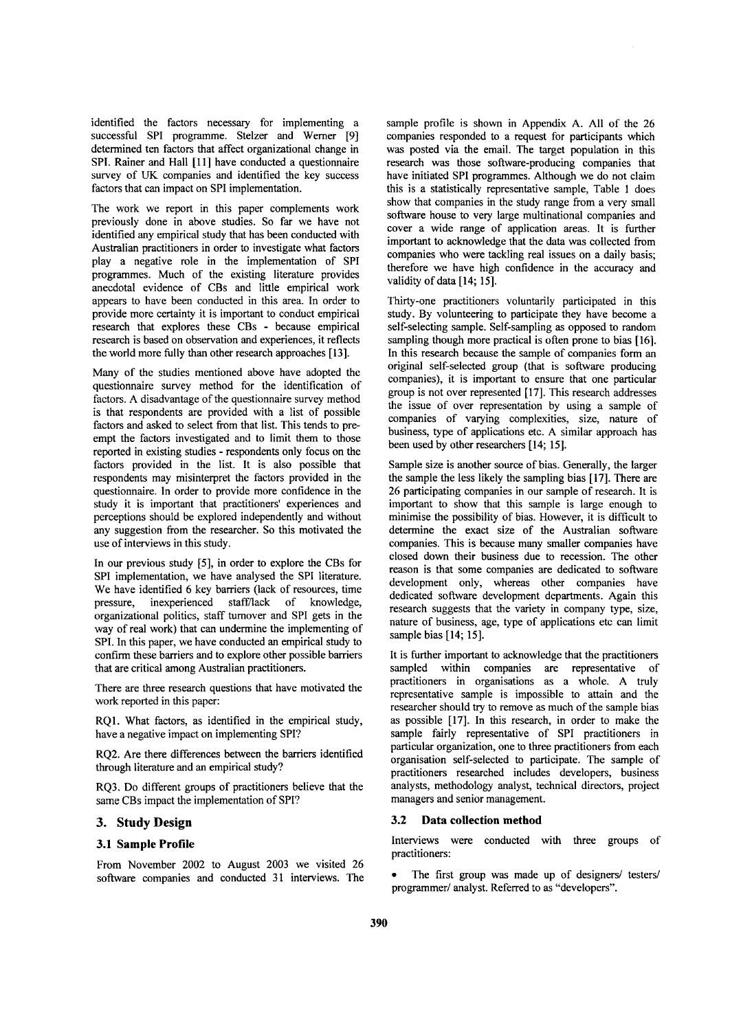identified the factors necessary for implementing a successful SPI programme. Stelzer and Werner [9] determined ten factors that affect organizational change in SPI. Rainer and Hall [II] have conducted a questionnaire survey of UK companies and identified the key success factors that can impact on SPI implementation.

The work we report in this paper complements work previously done in above studies. So far we have not identified any empirical study that has been conducted with Australian practitioners in order to investigate what factors play a negative role in the implementation of SPI programmes. Much of the existing literature provides anecdotal evidence of CBs and little empirical work appears to have been conducted in this area. In order to provide more certainty it is important to conduct empirical research that explores these CBs - because empirical research is based on observation and experiences, it reflects the world more fully than other research approaches [13].

Many of the studies mentioned above have adopted the questionnaire survey method for the identification of factors. A disadvantage of the questionnaire survey method is that respondents are provided with a list of possible factors and asked to select from that list. This tends to preempt the factors investigated and to limit them to those reported in existing studies - respondents only focus on the factors provided in the list. It is also possible that respondents may misinterpret the factors provided in the questionnaire. In order to provide more confidence in the study it is important that practitioners' experiences and perceptions should be explored independently and without any suggestion from the researcher. So this motivated the use of interviews in this study.

In our previous study [5], in order to explore the CBs for SPI implementation, we have analysed the SPI literature. We have identified 6 key barriers (lack of resources, time pressure, inexperienced staff/lack of knowledge, organizational politics, staff turnover and SPI gets in the way of real work) that can undermine the implementing of SPI. In this paper, we have conducted an empirical study to confirm these barriers and to explore other possible barriers that are critical among Australian practitioners.

There are three research questions that have motivated the work reported in this paper:

RQI. What factors, as identified in the empirical study, have a negative impact on implementing SPI?

RQ2. Are there differences between the barriers identified through literature and an empirical study?

RQ3. Do different groups of practitioners believe that the same CBs impact the implementation of SPI?

## **3. Study Design**

## **3.1 Sample Profile**

From November 2002 to August 2003 we visited 26 software companies and conducted 31 interviews. The

sample profile is shown in Appendix A. All of the 26 companies responded to a request for participants which was posted via the email. The target population in this research was those software-producing companies that have initiated SPI programmes. Although we do not claim this is a statistically representative sample, Table 1 does show that companies in the study range from a very small software house to very large multinational companies and cover a wide range of application areas. It is further important to acknowledge that the data was collected from companies who were tackling real issues on a daily basis; therefore we have high confidence in the accuracy and validity of data [14; 15].

Thirty-one practitioners voluntarily participated in this study. By volunteering to participate they have become a self-selecting sample. Self-sampling as opposed to random sampling though more practical is often prone to bias [16]. In this research because the sample of companies form an original self-selected group (that is software producing companies), it is important to ensure that one particular group is not over represented [17]. This research addresses the issue of over representation by using a sample of companies of varying complexities, size, nature of business, type of applications etc. A similar approach has been used by other researchers [14; 15].

Sample size is another source of bias. Generally, the larger the sample the less likely the sampling bias [17]. There are 26 participating companies in our sample of research. It is important to show that this sample is large enough to minimise the possibility of bias. However, it is difficult to determine the exact size of the Australian software companies. This is because many smaller companies have closed down their business due to recession. The other reason is that some companies are dedicated to software development only, whereas other companies have dedicated software development departments. Again this research suggests that the variety in company type, size, nature of business, age, type of applications etc can limit sample bias [14; 15].

It is further important to acknowledge that the practitioners sampled within companies are representative of practitioners in organisations as a whole. A truly representative sample is impossible to attain and the researcher should try to remove as much of the sample bias as possible [17]. In this research, in order to make the sample fairly representative of SPI practitioners in particular organization, one to three practitioners from each organisation self-selected to participate. The sample of practitioners researched includes developers, business analysts, methodology analyst, technical directors, project managers and senior management.

#### **3.2 Data collection method**

Interviews were conducted with three groups of practitioners:

The first group was made up of designers/ testers/ programmer/ analyst. Referred to as "developers".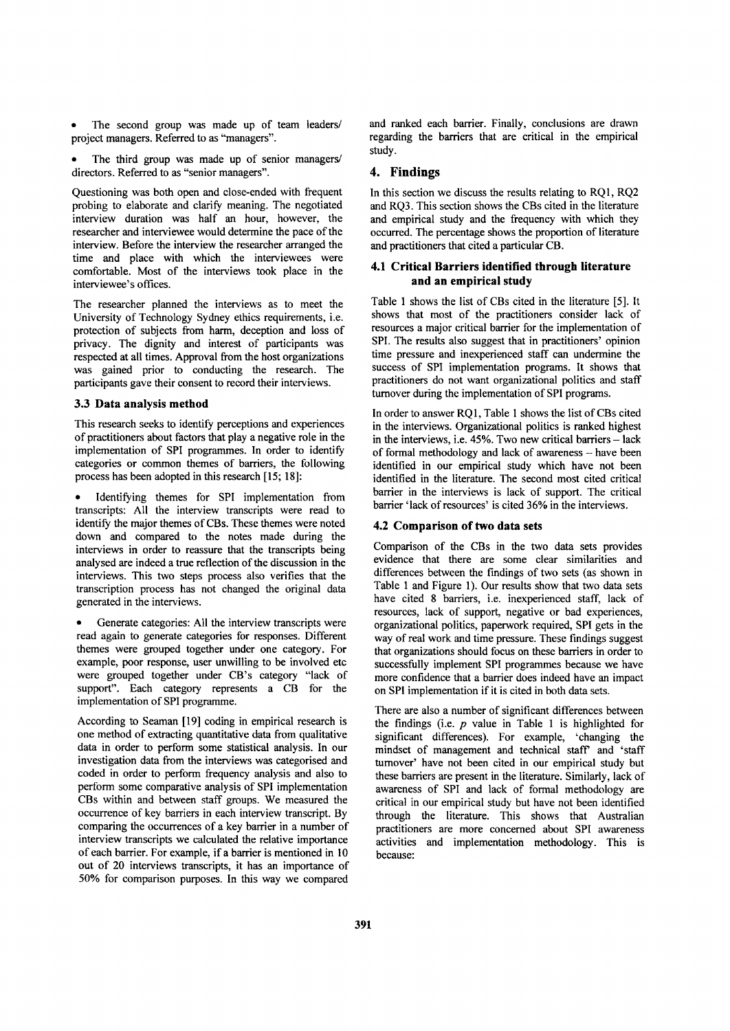The second group was made up of team leaders/ project managers. Referred to as "managers".

The third group was made up of senior managers/ directors. Referred to as "senior managers".

Questioning was both open and close-ended with frequent probing to elaborate and clarify meaning. The negotiated interview duration was half an hour, however, the researcher and interviewee would determine the pace of the interview. Before the interview the researcher arranged the time and place with which the interviewees were comfortable. Most of the interviews took place in the interviewee's offices.

The researcher planned the interviews as to meet the University of Technology Sydney ethics requirements, i.e. protection of subjects from harm, deception and loss of privacy. The dignity and interest of participants was respected at all times. Approval from the host organizations was gained prior to conducting the research. The participants gave their consent to record their interviews.

## 3.3 Data analysis method

This research seeks to identify perceptions and experiences of practitioners about factors that playa negative role in the implementation of SPI programmes. In order to identify categories or common themes of barriers, the following process has been adopted in this research [15; 18]:

Identifying themes for SPI implementation from transcripts: All the interview transcripts were read to identify the major themes of CBs. These themes were noted down and compared to the notes made during the interviews in order to reassure that the transcripts being analysed are indeed a true reflection of the discussion in the interviews. This two steps process also verifies that the transcription process has not changed the original data generated in the interviews.

Generate categories: All the interview transcripts were read again to generate categories for responses. Different themes were grouped together under one category. For example, poor response, user unwilling to be involved etc were grouped together under CB's category "lack of support". Each category represents a CB for the implementation of SPI programme.

According to Seaman [19] coding in empirical research is one method of extracting quantitative data from qualitative data in order to perform some statistical analysis. In our investigation data from the interviews was categorised and coded in order to perform frequency analysis and also to perform some comparative analysis of SPI implementation CBs within and between staff groups. We measured the occurrence of key barriers in each interview transcript. By comparing the occurrences of a key barrier in a number of interview transcripts we calculated the relative importance of each barrier. For example, if a barrier is mentioned in 10 out of 20 interviews transcripts, it has an importance of 50% for comparison purposes. In this way we compared and ranked each barrier. Finally, conclusions are drawn regarding the barriers that are critical in the empirical study.

## 4. Findings

In this section we discuss the results relating to RQ1, RQ2 and RQ3. This section shows the CBs cited in the literature and empirical study and the frequency with which they occurred. The percentage shows the proportion of literature and practitioners that cited a particular CB.

## 4.1 Critical Barriers identified through literature and an empirical study

Table 1 shows the list of CBs cited in the literature [5]. It shows that most of the practitioners consider lack of resources a major critical barrier for the implementation of SPI. The results also suggest that in practitioners' opinion time pressure and inexperienced staff can undermine the success of SPI implementation programs. It shows that practitioners do not want organizational politics and staff turnover during the implementation of SPI programs.

In order to answer RQ I, Table 1 shows the list of CBs cited in the interviews. Organizational politics is ranked highest in the interviews, i.e. 45%. Two new critical barriers - lack of formal methodology and lack of awareness - have been identified in our empirical study which have not been identified in the literature. The second most cited critical barrier in the interviews is lack of support. The critical barrier 'lack of resources' is cited 36% in the interviews.

#### 4.2 Comparison of two data sets

Comparison of the CBs in the two data sets provides evidence that there are some clear similarities and differences between the findings of two sets (as shown in Table 1 and Figure 1). Our results show that two data sets have cited 8 barriers, i.e. inexperienced staff, lack of resources, lack of support, negative or bad experiences, organizational politics, paperwork required, SPI gets in the way of real work and time pressure. These findings suggest that organizations should focus on these barriers in order to successfully implement SPI programmes because we have more confidence that a barrier does indeed have an impact on SPI implementation if it is cited in both data sets.

There are also a number of significant differences between the findings (i.e. *p* value in Table 1 is highlighted for significant differences). For example, 'changing the mindset of management and technical staff and 'staff turnover' have not been cited in our empirical study but these barriers are present in the literature. Similarly, lack of awareness of SPI and lack of formal methodology are critical in our empirical study but have not been identified through the literature. This shows that Australian practitioners are more concerned about SPI awareness activities and implementation methodology. This is because: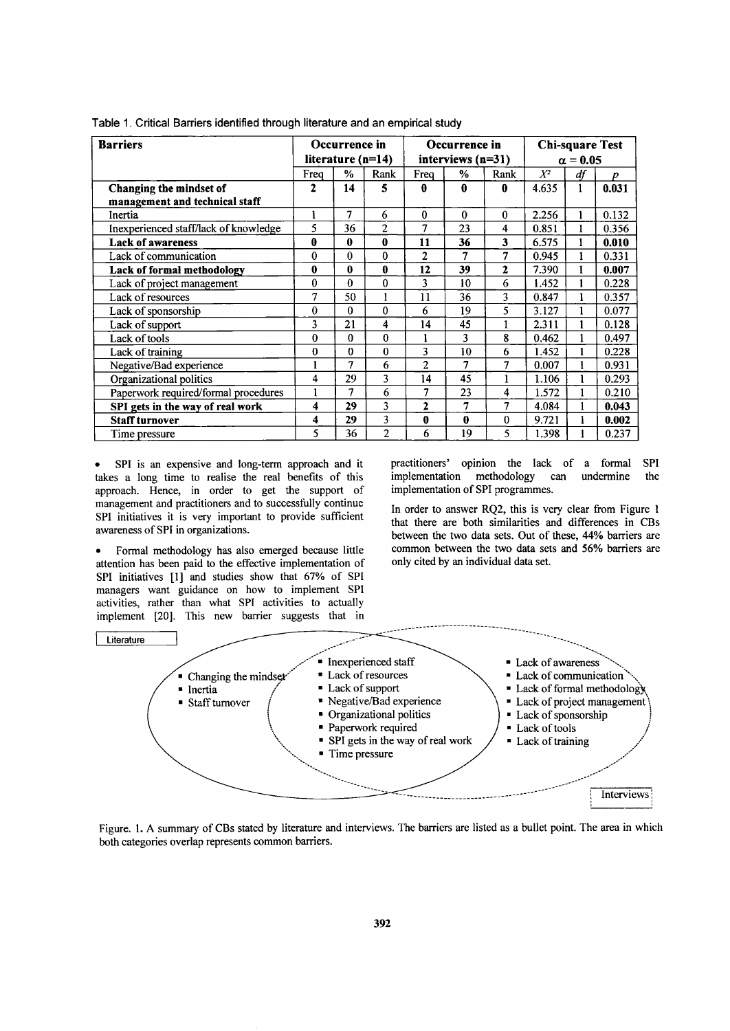| <b>Barriers</b>                       | Occurrence in<br>Occurrence in<br>literature $(n=14)$<br>interviews $(n=31)$ |              | <b>Chi-square Test</b><br>$\alpha = 0.05$ |                |              |              |       |    |                  |
|---------------------------------------|------------------------------------------------------------------------------|--------------|-------------------------------------------|----------------|--------------|--------------|-------|----|------------------|
|                                       | Freq                                                                         | %            | Rank                                      | Freq           | $\%$         | Rank         | $X^2$ | df | $\boldsymbol{p}$ |
| Changing the mindset of               | 2                                                                            | 14           | 5                                         | 0              | A            | $\mathbf{0}$ | 4.635 |    | 0.031            |
| management and technical staff        |                                                                              |              |                                           |                |              |              |       |    |                  |
| Inertia                               | l                                                                            | 7            | 6                                         | $\Omega$       | $\mathbf{0}$ | $\theta$     | 2.256 |    | 0.132            |
| Inexperienced staff/lack of knowledge | 5                                                                            | 36           | 2                                         | 7              | 23           | 4            | 0.851 |    | 0.356            |
| <b>Lack of awareness</b>              | $\bf{0}$                                                                     | 0            | 0                                         | 11             | 36           | 3            | 6.575 |    | 0.010            |
| Lack of communication                 | $\theta$                                                                     | $\Omega$     | 0                                         | $\mathbf{2}$   | 7            | 7            | 0.945 |    | 0.331            |
| Lack of formal methodology            | 0                                                                            | 0            | 0                                         | 12             | 39           | 2            | 7.390 |    | 0.007            |
| Lack of project management            | $\theta$                                                                     | $\Omega$     | 0                                         | 3              | 10           | 6            | 1.452 |    | 0.228            |
| Lack of resources                     | 7                                                                            | 50           |                                           | 11             | 36           | 3            | 0.847 |    | 0.357            |
| Lack of sponsorship                   | 0                                                                            | $\theta$     | 0                                         | 6              | 19           | 5            | 3.127 |    | 0.077            |
| Lack of support                       | 3                                                                            | 21           | 4                                         | 14             | 45           | $\mathbf{1}$ | 2.311 |    | 0.128            |
| Lack of tools                         | 0                                                                            | $\theta$     | 0                                         |                | 3            | 8            | 0.462 |    | 0.497            |
| Lack of training                      | 0                                                                            | $\mathbf{0}$ | $\bf{0}$                                  | 3              | 10           | 6            | 1.452 |    | 0.228            |
| Negative/Bad experience               | $\mathbf{1}$                                                                 | 7            | 6                                         | $\overline{2}$ | 7            | 7            | 0.007 |    | 0.931            |
| Organizational politics               | 4                                                                            | 29           | 3                                         | 14             | 45           |              | 1.106 |    | 0.293            |
| Paperwork required/formal procedures  | 1                                                                            | 7            | 6                                         | 7              | 23           | 4            | 1.572 |    | 0.210            |
| SPI gets in the way of real work      | 4                                                                            | 29           | 3                                         | $\mathbf{2}$   | 7            | 7            | 4.084 |    | 0.043            |
| <b>Staff turnover</b>                 | 4                                                                            | 29           | 3                                         | 0              | 0            | $\Omega$     | 9.721 |    | 0.002            |
| Time pressure                         | 5                                                                            | 36           | $\overline{c}$                            | 6              | 19           | 5            | 1.398 |    | 0.237            |

Table 1. Critical Barriers identified through literature and an empirical study

• SPI is an expensive and long-term approach and it takes a long time to realise the real benefits of this approach. Hence, in order to get the support of management and practitioners and to successfully continue SPI initiatives it is very important to provide sufficient awareness of SPI in organizations.

• Formal methodology has also emerged because little attention has been paid to the effective implementation of SPI initiatives [1] and studies show that 67% of SPI managers want guidance on how to implement SPI activities, rather than what SPI activities to actually implement [20]. This new barrier suggests that in

practitioners' opinion the lack of a formal SPI implementation methodology can undermine the implementation of SPI programmes.

In order to answer RQ2, this is very clear from Figure 1 that there are both similarities and differences in CBs between the two data sets. Out of these, 44% barriers are common between the two data sets and 56% barriers are only cited by an individual data set.



Figure. 1. A summary of CBs stated by literature and interviews. The barriers are listed as a bullet point. The area in which both categories overlap represents common barriers.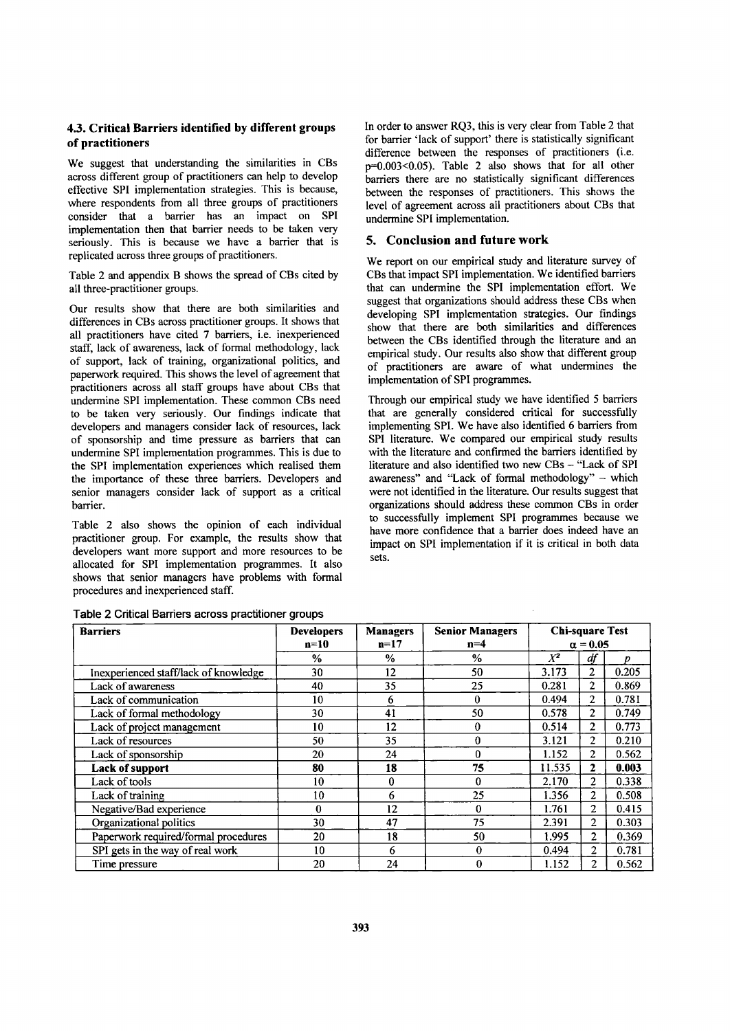# 4.3. Critical Barriers identified by different groups of practitioners

We suggest that understanding the similarities in CBs across different group of practitioners can help to develop effective SPI implementation strategies. This is because, where respondents from all three groups of practitioners consider that a barrier has an impact on SPI implementation then that barrier needs to be taken very seriously. This is because we have a barrier that is replicated across three groups of practitioners.

Table 2 and appendix B shows the spread of CBs cited by all three-practitioner groups.

Our results show that there are both similarities and differences in CBs across practitioner groups. It shows that all practitioners have cited 7 barriers, i.e, inexperienced staff, lack of awareness, lack of formal methodology, lack of support, lack of training, organizational politics, and paperwork required. This shows the level of agreement that practitioners across all staff groups have about CBs that undermine SPI implementation. These common CBs need to be taken very seriously. Our findings indicate that developers and managers consider lack of resources, lack of sponsorship and time pressure as barriers that can undermine SPI implementation programmes. This is due to the SPI implementation experiences which realised them the importance of these three barriers. Developers and senior managers consider lack of support as a critical barrier.

Table 2 also shows the opinion of each individual practitioner group. For example, the results show that developers want more support and more resources to be allocated for SPI implementation programmes. It also shows that senior managers have problems with formal procedures and inexperienced staff.

| Table 2 Critical Barriers across practitioner groups |  |
|------------------------------------------------------|--|
|------------------------------------------------------|--|

In order to answer RQ3, this is very clear from Table 2 that for barrier 'lack of support' there is statistically significant difference between the responses of practitioners (i.e. p=0.003<0.05). Table 2 also shows that for all other barriers there are no statistically significant differences between the responses of practitioners. This shows the level of agreement across all practitioners about CBs that undermine SPI implementation.

#### 5. Conclusion and future work

We report on our empirical study and literature survey of CBs that impact SPI implementation. We identified barriers that can undermine the SPI implementation effort. We suggest that organizations should address these CBs when developing SPI implementation strategies. Our findings show that there are both similarities and differences between the CBs identified through the literature and an empirical study. Our results also show that different group of practitioners are aware of what undermines the implementation of SPI programmes.

Through our empirical study we have identified 5 barriers that are generally considered critical for successfully implementing SPI. We have also identified 6 barriers from SPI literature. We compared our empirical study results with the literature and confirmed the barriers identified by literature and also identified two new CBs - "Lack of SPI awareness" and ''Lack of formal methodology" - which were not identified in the literature. Our results suggest that organizations should address these common CBs in order to successfully implement SPI programmes because we have more confidence that a barrier does indeed have an impact on SPI implementation if it is critical in both data sets.

| <b>Barriers</b>                       | <b>Developers</b> | <b>Managers</b> | <b>Senior Managers</b> |                                           |                |       |
|---------------------------------------|-------------------|-----------------|------------------------|-------------------------------------------|----------------|-------|
|                                       | n=10              | $n=17$          | $n=4$                  | <b>Chi-square Test</b><br>$\alpha = 0.05$ |                |       |
|                                       | %                 | $\%$            | $\%$                   | $X^2$                                     | df             |       |
| Inexperienced staff/lack of knowledge | 30                | 12              | 50                     | 3.173                                     | $\overline{2}$ | 0.205 |
| Lack of awareness                     | 40                | 35              | 25                     | 0.281                                     | 2              | 0.869 |
| Lack of communication                 | 10                | 6               | $\bf{0}$               | 0.494                                     | 2              | 0.781 |
| Lack of formal methodology            | 30                | 41              | 50                     | 0.578                                     | $\overline{2}$ | 0.749 |
| Lack of project management            | 10                | 12              | $\bf{0}$               | 0.514                                     | 2              | 0.773 |
| Lack of resources                     | 50                | 35              | $\theta$               | 3.121                                     | 2              | 0.210 |
| Lack of sponsorship                   | 20                | 24              | $\bf{0}$               | 1.152                                     | 2              | 0.562 |
| <b>Lack of support</b>                | 80                | 18              | 75                     | 11.535                                    | 2              | 0.003 |
| Lack of tools                         | 10                | 0               | $\Omega$               | 2.170                                     | 2              | 0.338 |
| Lack of training                      | 10                | 6               | 25                     | 1.356                                     | $\overline{2}$ | 0.508 |
| Negative/Bad experience               | 0                 | 12              | $\Omega$               | 1.761                                     | $\overline{c}$ | 0.415 |
| Organizational politics               | 30                | 47              | 75                     | 2.391                                     | 2              | 0.303 |
| Paperwork required/formal procedures  | 20                | 18              | 50                     | 1.995                                     | 2              | 0.369 |
| SPI gets in the way of real work      | 10                | 6               | $\theta$               | 0.494                                     | 2              | 0.781 |
| Time pressure                         | 20                | 24              | $\bf{0}$               | 1.152                                     | 2              | 0.562 |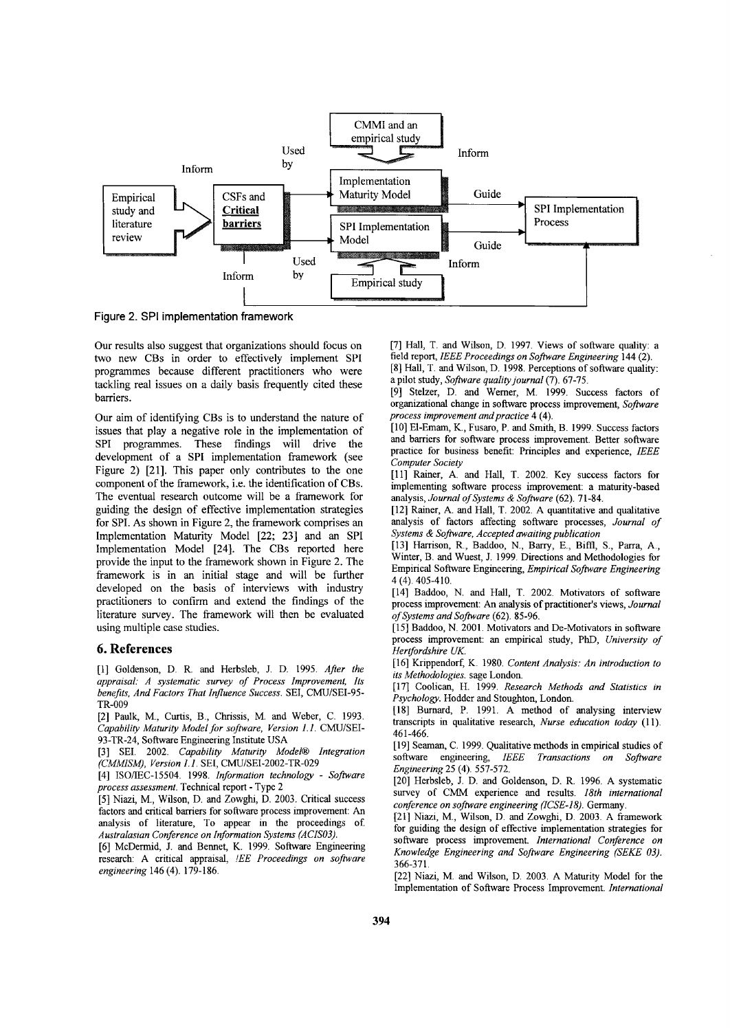

**Figure 2. SPI implementation framework**

Our results also suggest that organizations should focus on two new CBs in order to effectively implement SPI programmes because different practitioners who were tackling real issues on a daily basis frequently cited these barriers.

Our aim of identifying CBs is to understand the nature of issues that play a negative role in the implementation of SPI programmes. These findings will drive the development of a SPI implementation framework (see Figure 2) [21]. This paper only contributes to the one component of the framework, i.e. the identification of CBs. The eventual research outcome will be a framework for guiding the design of effective implementation strategies for SPI. As shown in Figure 2, the framework comprises an Implementation Maturity Model [22; 23] and an SPI Implementation Model [24]. The CBs reported here provide the input to the framework shown in Figure 2. The framework is in an initial stage and will be further developed on the basis of interviews with industry practitioners to confirm and extend the findings of the literature survey. The framework will then be evaluated using multiple case studies.

#### **6. References**

[I] Goldenson, D. R. and Herbsleb, 1. D. 1995. *After the appraisal: A systematic survey of Process Improvement, Its benefits, And Factors That Influence Success.* SEI, CMU/SEI-95- TR-009

[2] Paulk, M., Curtis, B., Chrissis, M. and Weber, C. 1993. *Capability Maturity Modelfor software, Version 1.1.* CMU/SEI-93-TR-24, Software Engineering Institute USA

[3] SEI. 2002. *Capability Maturity Model® Integration (CMMISM), Version 1.1.* SEI, CMU/SEI-2002-TR-029

[4] ISO/IEC-15504. 1998. *Information technology - Software process assessment.* Technical report - Type 2

[5] Niazi, M., Wilson, D. and Zowghi, D. 2003. Critical success factors and critical barriers for software process improvement: An analysis of literature, To appear in the proceedings of *Australasian Conference on Information Systems (ACIS03).*

[6] McDermid, 1. and Bennet, K. 1999. Software Engineering research: A critical appraisal, *lEE Proceedings on software engineering* 146 (4).179-186.

[7] Hall, T. and Wilson, D. 1997. Views of software quality: a field report, *IEEE Proceedings on Software Engineering* 144 (2). [8] Hall, T. and Wilson, D. 1998. Perceptions of software quality:

a pilot study, *Software qualityjournal* (7). 67-75.

[9] Stelzer, D. and Werner, M. 1999. Success factors of organizational change in software process improvement, *Software process improvement and practice* 4 (4).

[10] El-Emam, K., Fusaro, P. and Smith, B. 1999. Success factors and barriers for software process improvement. Better software practice for business benefit: Principles and experience, *IEEE Computer Society*

[11] Rainer, A. and Hall, T. 2002. Key success factors for implementing software process improvement: a maturity-based analysis, *Journal of Systems* & *Software* (62). 71-84.

[12] Rainer, A. and Hall, T. 2002. A quantitative and qualitative analysis of factors affecting software processes, *Journal of Systems* & *Software, Accepted awaiting publication*

[13] Harrison, R., Baddoo, N., Barry, E., Biffi, S., Parra, A., Winter, B. and Wuest, 1. 1999. Directions and Methodologies for Empirical Software Engineering, *Empirical Software Engineering* 4 (4). 405-410.

[14] Baddoo, N. and Hall, T. 2002. Motivators of software process improvement: An analysis of practitioner's views, *Journal of Systems and Software* (62).85-96.

[15] Baddoo, N. 2001. Motivators and De-Motivators in software process improvement: an empirical study, PhD, *University of Hertfordshire UK.*

[16] Krippendorf, K. 1980. *Content Analysis: An introduction to its Methodologies.* sage London.

[17] Coolican, H. 1999. *Research Methods and Statistics in Psychology.* Hodder and Stoughton, London.

[18] Burnard, P. 1991. A method of analysing interview transcripts in qualitative research, *Nurse education today* (ll). 461-466.

[19] Seaman, C. 1999. Qualitative methods in empirical studies of software engineering, *IEEE Transactions on Software Engineering* 25 (4) 557-572.

[20] Herbsleb, J. D. and Goldenson, D. R. 1996. A systematic survey of CMM experience and results. *18th international conference on software engineering (ICSE-I8).* Germany.

[21] Niazi, M., Wilson, D. and Zowghi, D. 2003. A framework for guiding the design of effective implementation strategies for software process improvement. *International Conference on Knowledge Engineering and Software Engineering (SEKE 03).* 366-371.

[22] Niazi, M. and Wilson, D. 2003. A Maturity Model for the Implementation of Software Process Improvement. *International*